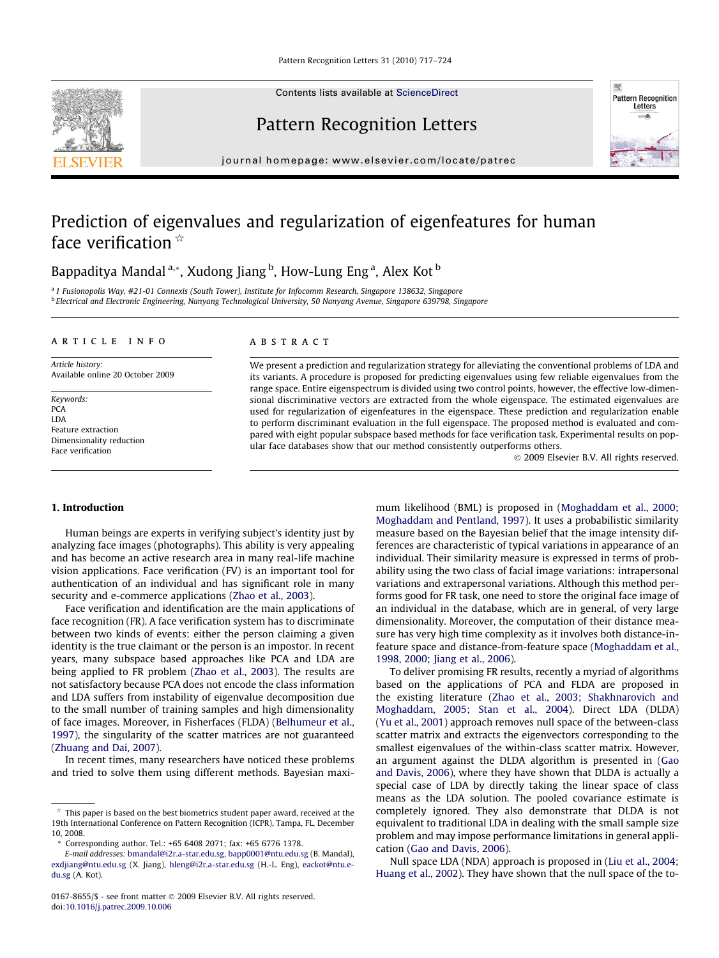Contents lists available at [ScienceDirect](http://www.sciencedirect.com/science/journal/01678655)

# Pattern Recognition Letters

journal homepage: [www.elsevier.com/locate/patrec](http://www.elsevier.com/locate/patrec)

# Prediction of eigenvalues and regularization of eigenfeatures for human face verification  $*$

Bappaditya Mandal <sup>a,</sup>\*, Xudong Jiang <sup>b</sup>, How-Lung Eng <sup>a</sup>, Alex Kot <sup>b</sup>

<sup>a</sup> 1 Fusionopolis Way, #21-01 Connexis (South Tower), Institute for Infocomm Research, Singapore 138632, Singapore <sup>b</sup> Electrical and Electronic Engineering, Nanyang Technological University, 50 Nanyang Avenue, Singapore 639798, Singapore

#### article info

Article history: Available online 20 October 2009

Keywords: **PCA** LDA Feature extraction Dimensionality reduction Face verification

### ABSTRACT

We present a prediction and regularization strategy for alleviating the conventional problems of LDA and its variants. A procedure is proposed for predicting eigenvalues using few reliable eigenvalues from the range space. Entire eigenspectrum is divided using two control points, however, the effective low-dimensional discriminative vectors are extracted from the whole eigenspace. The estimated eigenvalues are used for regularization of eigenfeatures in the eigenspace. These prediction and regularization enable to perform discriminant evaluation in the full eigenspace. The proposed method is evaluated and compared with eight popular subspace based methods for face verification task. Experimental results on popular face databases show that our method consistently outperforms others.

- 2009 Elsevier B.V. All rights reserved.

**Pattern Recognition** Letters

## 1. Introduction

Human beings are experts in verifying subject's identity just by analyzing face images (photographs). This ability is very appealing and has become an active research area in many real-life machine vision applications. Face verification (FV) is an important tool for authentication of an individual and has significant role in many security and e-commerce applications [\(Zhao et al., 2003](#page-7-0)).

Face verification and identification are the main applications of face recognition (FR). A face verification system has to discriminate between two kinds of events: either the person claiming a given identity is the true claimant or the person is an impostor. In recent years, many subspace based approaches like PCA and LDA are being applied to FR problem [\(Zhao et al., 2003\)](#page-7-0). The results are not satisfactory because PCA does not encode the class information and LDA suffers from instability of eigenvalue decomposition due to the small number of training samples and high dimensionality of face images. Moreover, in Fisherfaces (FLDA) ([Belhumeur et al.,](#page-7-0) [1997\)](#page-7-0), the singularity of the scatter matrices are not guaranteed ([Zhuang and Dai, 2007](#page-7-0)).

In recent times, many researchers have noticed these problems and tried to solve them using different methods. Bayesian maximum likelihood (BML) is proposed in ([Moghaddam et al., 2000;](#page-7-0) [Moghaddam and Pentland, 1997\)](#page-7-0). It uses a probabilistic similarity measure based on the Bayesian belief that the image intensity differences are characteristic of typical variations in appearance of an individual. Their similarity measure is expressed in terms of probability using the two class of facial image variations: intrapersonal variations and extrapersonal variations. Although this method performs good for FR task, one need to store the original face image of an individual in the database, which are in general, of very large dimensionality. Moreover, the computation of their distance measure has very high time complexity as it involves both distance-infeature space and distance-from-feature space [\(Moghaddam et al.,](#page-7-0) [1998, 2000; Jiang et al., 2006\)](#page-7-0).

To deliver promising FR results, recently a myriad of algorithms based on the applications of PCA and FLDA are proposed in the existing literature [\(Zhao et al., 2003; Shakhnarovich and](#page-7-0) [Moghaddam, 2005; Stan et al., 2004](#page-7-0)). Direct LDA (DLDA) ([Yu et al., 2001\)](#page-7-0) approach removes null space of the between-class scatter matrix and extracts the eigenvectors corresponding to the smallest eigenvalues of the within-class scatter matrix. However, an argument against the DLDA algorithm is presented in ([Gao](#page-7-0) [and Davis, 2006\)](#page-7-0), where they have shown that DLDA is actually a special case of LDA by directly taking the linear space of class means as the LDA solution. The pooled covariance estimate is completely ignored. They also demonstrate that DLDA is not equivalent to traditional LDA in dealing with the small sample size problem and may impose performance limitations in general application [\(Gao and Davis, 2006\)](#page-7-0).

Null space LDA (NDA) approach is proposed in [\(Liu et al., 2004;](#page-7-0) [Huang et al., 2002\)](#page-7-0). They have shown that the null space of the to-



This paper is based on the best biometrics student paper award, received at the 19th International Conference on Pattern Recognition (ICPR), Tampa, FL, December 10, 2008.

Corresponding author. Tel.: +65 6408 2071; fax: +65 6776 1378.

E-mail addresses: [bmandal@i2r.a-star.edu.sg,](mailto:bmandal@i2r.a-star.edu.sg) [bapp0001@ntu.edu.sg](mailto:bapp0001@ntu.edu.sg) (B. Mandal), [exdjiang@ntu.edu.sg](mailto:exdjiang@ntu.edu.sg) (X. Jiang), [hleng@i2r.a-star.edu.sg](mailto:hleng@i2r.a-star.edu.sg) (H.-L. Eng), [eackot@ntu.e](mailto:eackot@ntu.edu.sg)[du.sg](mailto:eackot@ntu.edu.sg) (A. Kot).

<sup>0167-8655/\$ -</sup> see front matter © 2009 Elsevier B.V. All rights reserved. doi[:10.1016/j.patrec.2009.10.006](http://dx.doi.org/10.1016/j.patrec.2009.10.006)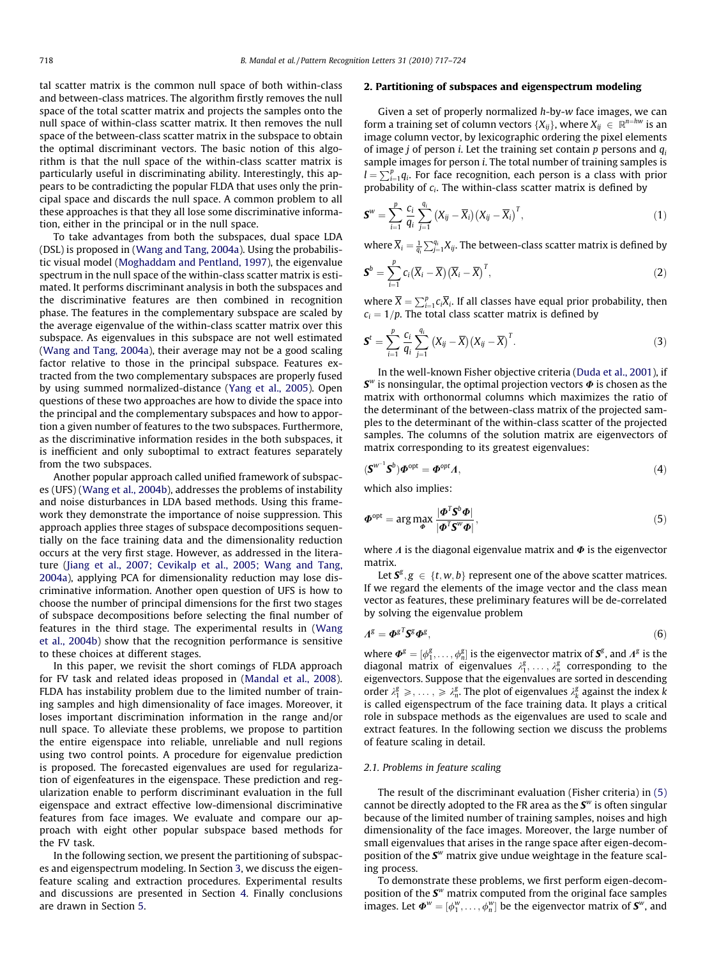<span id="page-1-0"></span>tal scatter matrix is the common null space of both within-class and between-class matrices. The algorithm firstly removes the null space of the total scatter matrix and projects the samples onto the null space of within-class scatter matrix. It then removes the null space of the between-class scatter matrix in the subspace to obtain the optimal discriminant vectors. The basic notion of this algorithm is that the null space of the within-class scatter matrix is particularly useful in discriminating ability. Interestingly, this appears to be contradicting the popular FLDA that uses only the principal space and discards the null space. A common problem to all these approaches is that they all lose some discriminative information, either in the principal or in the null space.

To take advantages from both the subspaces, dual space LDA (DSL) is proposed in ([Wang and Tang, 2004a](#page-7-0)). Using the probabilistic visual model [\(Moghaddam and Pentland, 1997](#page-7-0)), the eigenvalue spectrum in the null space of the within-class scatter matrix is estimated. It performs discriminant analysis in both the subspaces and the discriminative features are then combined in recognition phase. The features in the complementary subspace are scaled by the average eigenvalue of the within-class scatter matrix over this subspace. As eigenvalues in this subspace are not well estimated ([Wang and Tang, 2004a](#page-7-0)), their average may not be a good scaling factor relative to those in the principal subspace. Features extracted from the two complementary subspaces are properly fused by using summed normalized-distance ([Yang et al., 2005](#page-7-0)). Open questions of these two approaches are how to divide the space into the principal and the complementary subspaces and how to apportion a given number of features to the two subspaces. Furthermore, as the discriminative information resides in the both subspaces, it is inefficient and only suboptimal to extract features separately from the two subspaces.

Another popular approach called unified framework of subspaces (UFS) [\(Wang et al., 2004b](#page-7-0)), addresses the problems of instability and noise disturbances in LDA based methods. Using this framework they demonstrate the importance of noise suppression. This approach applies three stages of subspace decompositions sequentially on the face training data and the dimensionality reduction occurs at the very first stage. However, as addressed in the literature ([Jiang et al., 2007; Cevikalp et al., 2005; Wang and Tang,](#page-7-0) [2004a\)](#page-7-0), applying PCA for dimensionality reduction may lose discriminative information. Another open question of UFS is how to choose the number of principal dimensions for the first two stages of subspace decompositions before selecting the final number of features in the third stage. The experimental results in ([Wang](#page-7-0) [et al., 2004b\)](#page-7-0) show that the recognition performance is sensitive to these choices at different stages.

In this paper, we revisit the short comings of FLDA approach for FV task and related ideas proposed in ([Mandal et al., 2008\)](#page-7-0). FLDA has instability problem due to the limited number of training samples and high dimensionality of face images. Moreover, it loses important discrimination information in the range and/or null space. To alleviate these problems, we propose to partition the entire eigenspace into reliable, unreliable and null regions using two control points. A procedure for eigenvalue prediction is proposed. The forecasted eigenvalues are used for regularization of eigenfeatures in the eigenspace. These prediction and regularization enable to perform discriminant evaluation in the full eigenspace and extract effective low-dimensional discriminative features from face images. We evaluate and compare our approach with eight other popular subspace based methods for the FV task.

In the following section, we present the partitioning of subspaces and eigenspectrum modeling. In Section [3,](#page-3-0) we discuss the eigenfeature scaling and extraction procedures. Experimental results and discussions are presented in Section [4.](#page-4-0) Finally conclusions are drawn in Section [5](#page-6-0).

## 2. Partitioning of subspaces and eigenspectrum modeling

Given a set of properly normalized h-by-w face images, we can form a training set of column vectors  $\{X_{ii}\}\$ , where  $X_{ii} \in \mathbb{R}^{n=hw}$  is an image column vector, by lexicographic ordering the pixel elements of image *j* of person *i*. Let the training set contain *p* persons and  $q_i$ sample images for person *i*. The total number of training samples is  $l = \sum_{i=1}^{p} q_i$ . For face recognition, each person is a class with prior probability of  $c_i$ . The within-class scatter matrix is defined by

$$
\mathbf{S}^{\mathbf{w}} = \sum_{i=1}^{p} \frac{c_i}{q_i} \sum_{j=1}^{q_i} (X_{ij} - \overline{X}_i) (X_{ij} - \overline{X}_i)^T, \qquad (1)
$$

where  $\overline{X}_i = \frac{1}{q_i} \sum_{j=1}^{q_i} X_{ij}$ . The between-class scatter matrix is defined by

$$
\mathbf{S}^{b} = \sum_{i=1}^{p} c_{i} (\overline{X}_{i} - \overline{X}) (\overline{X}_{i} - \overline{X})^{T}, \qquad (2)
$$

where  $\overline{X} = \sum_{i=1}^p c_i \overline{X}_i$ . If all classes have equal prior probability, then  $c_i = 1/p$ . The total class scatter matrix is defined by

$$
\mathbf{S}^{t} = \sum_{i=1}^{p} \frac{c_{i}}{q_{i}} \sum_{j=1}^{q_{i}} (X_{ij} - \overline{X}) (X_{ij} - \overline{X})^{T}.
$$
 (3)

In the well-known Fisher objective criteria ([Duda et al., 2001\)](#page-7-0), if  $S^w$  is nonsingular, the optimal projection vectors  $\Phi$  is chosen as the matrix with orthonormal columns which maximizes the ratio of the determinant of the between-class matrix of the projected samples to the determinant of the within-class scatter of the projected samples. The columns of the solution matrix are eigenvectors of matrix corresponding to its greatest eigenvalues:

$$
(\mathbf{S}^{w^{-1}}\mathbf{S}^b)\boldsymbol{\Phi}^{\text{opt}} = \boldsymbol{\Phi}^{\text{opt}}\boldsymbol{\Lambda},\tag{4}
$$

which also implies:

11

$$
\boldsymbol{\Phi}^{\text{opt}} = \arg \max_{\boldsymbol{\phi}} \frac{|\boldsymbol{\phi}^T \boldsymbol{S}^b \boldsymbol{\phi}|}{|\boldsymbol{\phi}^T \boldsymbol{S}^w \boldsymbol{\phi}|},\tag{5}
$$

where  $\Lambda$  is the diagonal eigenvalue matrix and  $\Phi$  is the eigenvector matrix.

Let  $S^g$ ,  $g \in \{t, w, b\}$  represent one of the above scatter matrices. If we regard the elements of the image vector and the class mean vector as features, these preliminary features will be de-correlated by solving the eigenvalue problem

$$
A^{\mathcal{S}} = \boldsymbol{\Phi}^{\mathcal{S}^T} \mathbf{S}^{\mathcal{S}} \boldsymbol{\Phi}^{\mathcal{S}},\tag{6}
$$

where  $\boldsymbol{\Phi}^g = [\phi_1^g, \dots, \phi_n^g]$  is the eigenvector matrix of  $\mathbf{S}^g$ , and  $A^g$  is the diagonal matrix of eigenvalues  $\lambda_1^g$ , ...,  $\lambda_n^g$  corresponding to the eigenvectors. Suppose that the eigenvalues are sorted in descending order  $\lambda_1^g \geq, \ldots, \geq \lambda_n^g$ . The plot of eigenvalues  $\lambda_k^g$  against the index k is called eigenspectrum of the face training data. It plays a critical role in subspace methods as the eigenvalues are used to scale and extract features. In the following section we discuss the problems of feature scaling in detail.

## 2.1. Problems in feature scaling

The result of the discriminant evaluation (Fisher criteria) in (5) cannot be directly adopted to the FR area as the  $S<sup>w</sup>$  is often singular because of the limited number of training samples, noises and high dimensionality of the face images. Moreover, the large number of small eigenvalues that arises in the range space after eigen-decomposition of the  $S<sup>w</sup>$  matrix give undue weightage in the feature scaling process.

To demonstrate these problems, we first perform eigen-decomposition of the  $S<sup>w</sup>$  matrix computed from the original face samples images. Let  $\boldsymbol{\Phi}^w = [\phi_1^w, \dots, \phi_n^w]$  be the eigenvector matrix of  $\boldsymbol{S}^w$ , and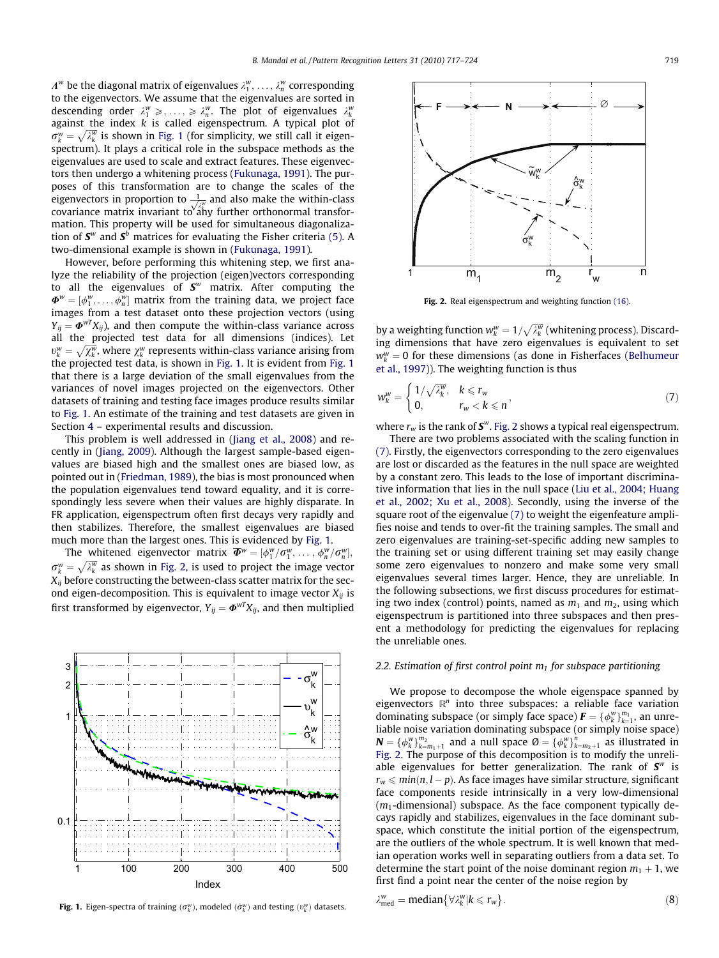<span id="page-2-0"></span> $A^{\sf w}$  be the diagonal matrix of eigenvalues  $\lambda_1^{\sf w},\,\ldots,\,\lambda_n^{\sf w}$  corresponding to the eigenvectors. We assume that the eigenvalues are sorted in descending order  $\lambda_1^w \geqslant, \ldots, \geqslant \lambda_n^w$ . The plot of eigenvalues  $\lambda_k^w$ against the index  $k$  is called eigenspectrum. A typical plot of  $\sigma_k^w = \sqrt{\lambda_k^w}$  is shown in Fig. 1 (for simplicity, we still call it eigenspectrum). It plays a critical role in the subspace methods as the eigenvalues are used to scale and extract features. These eigenvectors then undergo a whitening process ([Fukunaga, 1991\)](#page-7-0). The purposes of this transformation are to change the scales of the eigenvectors in proportion to  $\frac{1}{\sqrt{2N}}$  and also make the within-class<br>covariance matrix invariant to all further erthonormal transfer covariance matrix invariant to<sup>v</sup>ahy further orthonormal transformation. This property will be used for simultaneous diagonalization of  $S^w$  and  $S^b$  matrices for evaluating the Fisher criteria [\(5\)](#page-1-0). A two-dimensional example is shown in [\(Fukunaga, 1991](#page-7-0)).

However, before performing this whitening step, we first analyze the reliability of the projection (eigen)vectors corresponding to all the eigenvalues of  $S^w$  matrix. After computing the  $\boldsymbol{\varPhi}^{w} = [\phi_1^{w}, \ldots, \phi_n^{w}]$  matrix from the training data, we project face images from a test dataset onto these projection vectors (using  $Y_{ij} = \boldsymbol{\Phi}^{wT} X_{ij}$ , and then compute the within-class variance across all the projected test data for all dimensions (indices). Let  $v_k^w = \sqrt{\chi_k^w}$ , where  $\chi_k^w$  represents within-class variance arising from the projected test data, is shown in Fig. 1. It is evident from Fig. 1 that there is a large deviation of the small eigenvalues from the variances of novel images projected on the eigenvectors. Other datasets of training and testing face images produce results similar to Fig. 1. An estimate of the training and test datasets are given in Section [4](#page-4-0) – experimental results and discussion.

This problem is well addressed in [\(Jiang et al., 2008\)](#page-7-0) and recently in [\(Jiang, 2009\)](#page-7-0). Although the largest sample-based eigenvalues are biased high and the smallest ones are biased low, as pointed out in [\(Friedman, 1989\)](#page-7-0), the bias is most pronounced when the population eigenvalues tend toward equality, and it is correspondingly less severe when their values are highly disparate. In FR application, eigenspectrum often first decays very rapidly and then stabilizes. Therefore, the smallest eigenvalues are biased much more than the largest ones. This is evidenced by Fig. 1.

The whitened eigenvector matrix  $\overline{\Phi}^w = [\phi_1^w / \sigma_1^w, \ldots, \phi_n^w / \sigma_n^w]$  $\sigma_k^w = \sqrt{\lambda_k^w}$  as shown in Fig. 2, is used to project the image vector  $X_{ii}$  before constructing the between-class scatter matrix for the second eigen-decomposition. This is equivalent to image vector  $X_{ij}$  is first transformed by eigenvector,  $Y_{ij} = \boldsymbol{\Phi}^{wT} X_{ij}$ , and then multiplied



**Fig. 1.** Eigen-spectra of training  $(\sigma_k^w)$ , modeled  $(\hat{\sigma}_k^w)$  and testing  $(v_k^w)$  datasets.



Fig. 2. Real eigenspectrum and weighting function [\(16\)](#page-3-0).

by a weighting function  $w_k^w = 1/\sqrt{\lambda_k^w}$  (whitening process). Discarding dimensions that have zero eigenvalues is equivalent to set  $w_k^w = 0$  for these dimensions (as done in Fisherfaces ([Belhumeur](#page-7-0) [et al., 1997\)](#page-7-0)). The weighting function is thus

$$
w_k^w = \begin{cases} 1/\sqrt{\lambda_k^w}, & k \le r_w \\ 0, & r_w < k \le n \end{cases}
$$
 (7)

where  $r_w$  is the rank of  $S^w$ . Fig. 2 shows a typical real eigenspectrum.

There are two problems associated with the scaling function in (7). Firstly, the eigenvectors corresponding to the zero eigenvalues are lost or discarded as the features in the null space are weighted by a constant zero. This leads to the lose of important discriminative information that lies in the null space ([Liu et al., 2004; Huang](#page-7-0) [et al., 2002; Xu et al., 2008](#page-7-0)). Secondly, using the inverse of the square root of the eigenvalue (7) to weight the eigenfeature amplifies noise and tends to over-fit the training samples. The small and zero eigenvalues are training-set-specific adding new samples to the training set or using different training set may easily change some zero eigenvalues to nonzero and make some very small eigenvalues several times larger. Hence, they are unreliable. In the following subsections, we first discuss procedures for estimating two index (control) points, named as  $m_1$  and  $m_2$ , using which eigenspectrum is partitioned into three subspaces and then present a methodology for predicting the eigenvalues for replacing the unreliable ones.

### 2.2. Estimation of first control point  $m_1$  for subspace partitioning

We propose to decompose the whole eigenspace spanned by eigenvectors  $\mathbb{R}^n$  into three subspaces: a reliable face variation dominating subspace (or simply face space)  $\boldsymbol{F} = \{\phi_k^w\}_{k=1}^{m_1}$ , an unreliable noise variation dominating subspace (or simply noise space)  $\mathbf{N} = \{\phi_k^w\}_{k=m_1+1}^{m_2}$  and a null space  $\mathcal{O} = \{\phi_k^w\}_{k=m_2+1}^{n}$  as illustrated in Fig. 2. The purpose of this decomposition is to modify the unreliable eigenvalues for better generalization. The rank of  $S^w$  is  $r_w \leqslant min(n, l - p)$ . As face images have similar structure, significant face components reside intrinsically in a very low-dimensional  $(m_1$ -dimensional) subspace. As the face component typically decays rapidly and stabilizes, eigenvalues in the face dominant subspace, which constitute the initial portion of the eigenspectrum, are the outliers of the whole spectrum. It is well known that median operation works well in separating outliers from a data set. To determine the start point of the noise dominant region  $m_1 + 1$ , we first find a point near the center of the noise region by

$$
\lambda_{\text{med}}^W = \text{median}\{\forall \lambda_k^W | k \leqslant r_W\}.
$$
\n(8)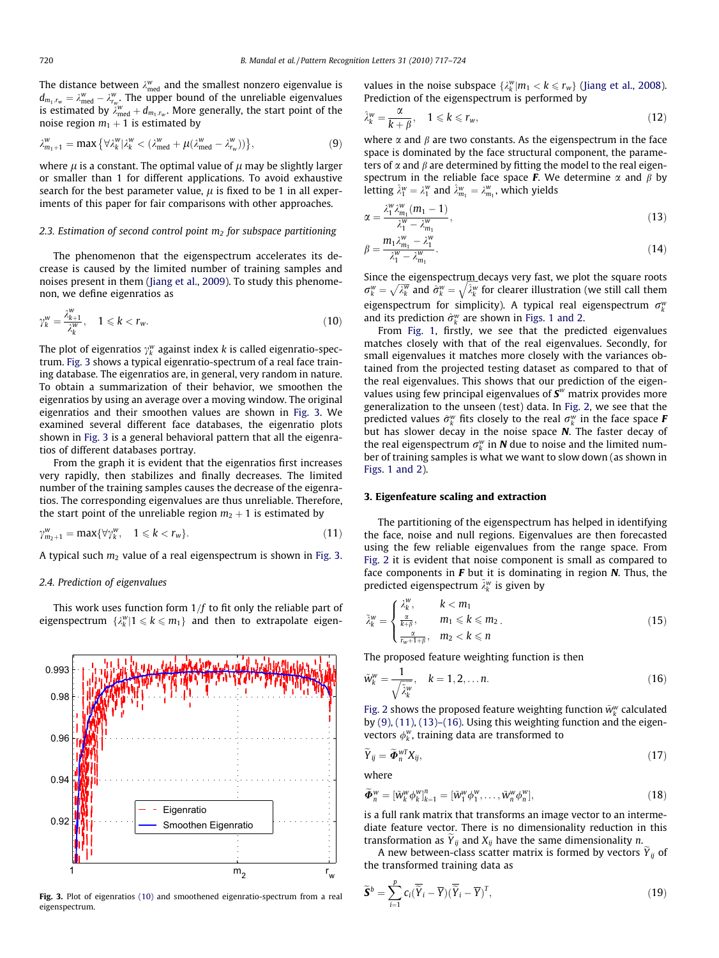<span id="page-3-0"></span>The distance between  $\lambda^{\sf w}_{\sf med}$  and the smallest nonzero eigenvalue is  $d_{m_1,r_w} = \lambda_{\text{med}}^w - \lambda_{r_w}^w$ . The upper bound of the unreliable eigenvalues is estimated by  $\tilde{\lambda}_{\rm med}^{\rm w} + d_{m_1,r_{\rm w}}$ . More generally, the start point of the noise region  $m_1 + 1$  is estimated by

$$
\lambda_{m_1+1}^w = \max \left\{ \forall \lambda_k^w | \lambda_k^w < (\lambda_{\text{med}}^w + \mu(\lambda_{\text{med}}^w - \lambda_{r_w}^w)) \right\},\tag{9}
$$

where  $\mu$  is a constant. The optimal value of  $\mu$  may be slightly larger or smaller than 1 for different applications. To avoid exhaustive search for the best parameter value,  $\mu$  is fixed to be 1 in all experiments of this paper for fair comparisons with other approaches.

## 2.3. Estimation of second control point  $m_2$  for subspace partitioning

The phenomenon that the eigenspectrum accelerates its decrease is caused by the limited number of training samples and noises present in them [\(Jiang et al., 2009\)](#page-7-0). To study this phenomenon, we define eigenratios as

$$
\gamma_k^w = \frac{\lambda_{k+1}^w}{\lambda_k^w}, \quad 1 \leq k < r_w. \tag{10}
$$

The plot of eigenratios  $\gamma_k^w$  against index  $k$  is called eigenratio-spectrum. Fig. 3 shows a typical eigenratio-spectrum of a real face training database. The eigenratios are, in general, very random in nature. To obtain a summarization of their behavior, we smoothen the eigenratios by using an average over a moving window. The original eigenratios and their smoothen values are shown in Fig. 3. We examined several different face databases, the eigenratio plots shown in Fig. 3 is a general behavioral pattern that all the eigenratios of different databases portray.

From the graph it is evident that the eigenratios first increases very rapidly, then stabilizes and finally decreases. The limited number of the training samples causes the decrease of the eigenratios. The corresponding eigenvalues are thus unreliable. Therefore, the start point of the unreliable region  $m_2 + 1$  is estimated by

$$
\gamma_{m_2+1}^w = \max\{\forall \gamma_k^w, \quad 1 \leq k < r_w\}.\tag{11}
$$

A typical such  $m_2$  value of a real eigenspectrum is shown in Fig. 3.

## 2.4. Prediction of eigenvalues

This work uses function form  $1/f$  to fit only the reliable part of eigenspectrum  $\{\lambda_k^w | 1 \leq k \leq m_1\}$  and then to extrapolate eigen-



Fig. 3. Plot of eigenratios (10) and smoothened eigenratio-spectrum from a real eigenspectrum.

values in the noise subspace  $\{\lambda_k^w | m_1 < k \leq r_w\}$  ([Jiang et al., 2008\)](#page-7-0). Prediction of the eigenspectrum is performed by

$$
\hat{\lambda}_k^w = \frac{\alpha}{k + \beta}, \quad 1 \leq k \leq r_w,\tag{12}
$$

where  $\alpha$  and  $\beta$  are two constants. As the eigenspectrum in the face space is dominated by the face structural component, the parameters of  $\alpha$  and  $\beta$  are determined by fitting the model to the real eigenspectrum in the reliable face space **F**. We determine  $\alpha$  and  $\beta$  by letting  $\hat{\lambda}^w_1 = \lambda^w_1$  and  $\hat{\lambda}^w_{m_1} = \lambda^w_{m_1}$ , which yields

$$
\alpha = \frac{\lambda_1^w \lambda_{m_1}^w (m_1 - 1)}{\lambda_1^w - \lambda_{m_1}^w},\tag{13}
$$

$$
\beta = \frac{m_1 \lambda_{m_1}^w - \lambda_1^w}{\lambda_1^w - \lambda_{m_1}^w}.
$$
\n(14)

Since the eigenspectrum decays very fast, we plot the square roots  $\sigma_{k}^{w} = \sqrt{\lambda_{k}^{w}}$  and  $\hat{\sigma}_{k}^{w} = \sqrt{\lambda_{k}^{w}}$  for clearer illustration (we still call them eigenspectrum for simplicity). A typical real eigenspectrum  $\sigma_k^{\omega}$ and its prediction  $\hat{\sigma}_{k}^{w}$  are shown in [Figs. 1 and 2](#page-2-0).

From [Fig. 1,](#page-2-0) firstly, we see that the predicted eigenvalues matches closely with that of the real eigenvalues. Secondly, for small eigenvalues it matches more closely with the variances obtained from the projected testing dataset as compared to that of the real eigenvalues. This shows that our prediction of the eigenvalues using few principal eigenvalues of  $S<sup>w</sup>$  matrix provides more generalization to the unseen (test) data. In [Fig. 2,](#page-2-0) we see that the predicted values  $\hat{\sigma}_k^w$  fits closely to the real  $\sigma_k^w$  in the face space **F** but has slower decay in the noise space  $N$ . The faster decay of the real eigenspectrum  $\sigma_k^w$  in  $N$  due to noise and the limited number of training samples is what we want to slow down (as shown in [Figs. 1 and 2\)](#page-2-0).

#### 3. Eigenfeature scaling and extraction

The partitioning of the eigenspectrum has helped in identifying the face, noise and null regions. Eigenvalues are then forecasted using the few reliable eigenvalues from the range space. From [Fig. 2](#page-2-0) it is evident that noise component is small as compared to face components in  $\bf{F}$  but it is dominating in region  $\bf{N}$ . Thus, the predicted eigenspectrum  $\tilde{\lambda}_k^w$  is given by

$$
\tilde{\lambda}_k^w = \begin{cases}\n\frac{\lambda_k^w}{k + \beta}, & k < m_1 \\
\frac{\alpha}{k + \beta}, & m_1 \leq k \leq m_2 \\
\frac{\alpha}{r_w + 1 + \beta}, & m_2 < k \leq n\n\end{cases}
$$
\n(15)

The proposed feature weighting function is then

$$
\tilde{w}_k^w = \frac{1}{\sqrt{\tilde{\lambda}_k^w}}, \quad k = 1, 2, \dots n. \tag{16}
$$

[Fig. 2](#page-2-0) shows the proposed feature weighting function  $\tilde{w}_k^w$  calculated by  $(9)$ ,  $(11)$ ,  $(13)$ – $(16)$ . Using this weighting function and the eigenvectors  $\phi_k^w$ , training data are transformed to

$$
\widetilde{Y}_{ij} = \widetilde{\Phi}_n^{\text{wT}} X_{ij},\tag{17}
$$

where

$$
\widetilde{\Phi}_n^w = [\widetilde{w}_k^w \phi_k^w]_{k=1}^n = [\widetilde{w}_1^w \phi_1^w, \dots, \widetilde{w}_n^w \phi_n^w],\tag{18}
$$

is a full rank matrix that transforms an image vector to an intermediate feature vector. There is no dimensionality reduction in this transformation as  $Y_{ij}$  and  $X_{ij}$  have the same dimensionality n.

A new between-class scatter matrix is formed by vectors  $Y_{ij}$  of the transformed training data as

$$
\widetilde{\mathbf{S}}^b = \sum_{i=1}^p c_i (\overline{\widetilde{Y}}_i - \overline{Y})(\overline{\widetilde{Y}}_i - \overline{Y})^T, \tag{19}
$$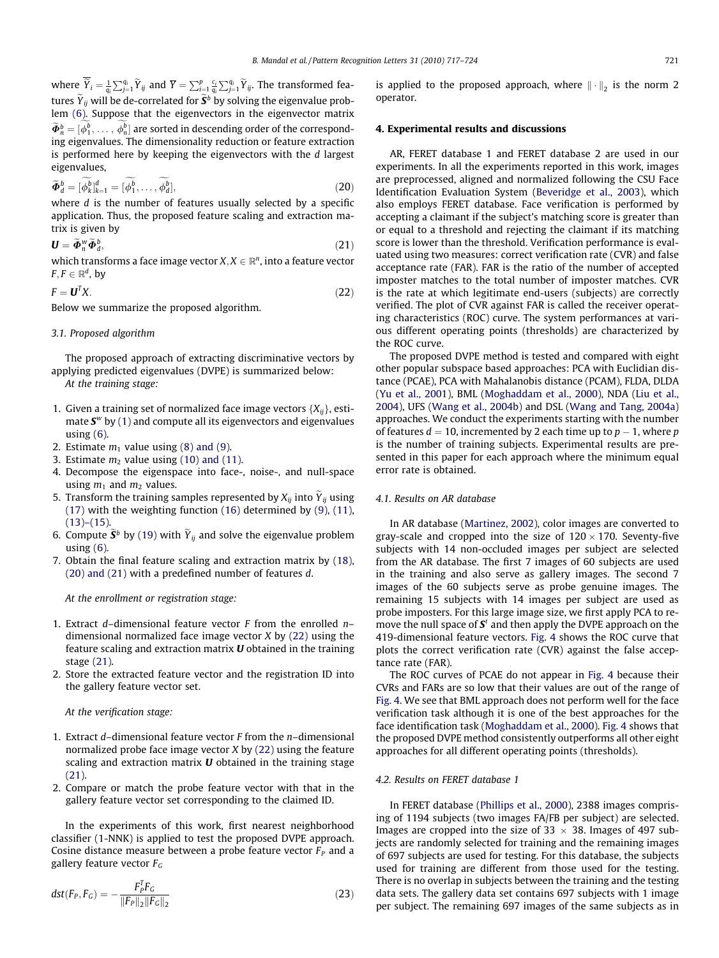<span id="page-4-0"></span>where  $\overline{\widetilde{Y}}_i = \frac{1}{q_i} \sum_{j=1}^{q_i} \widetilde{Y}_{ij}$  and  $\overline{Y} = \sum_{i=1}^{p} \frac{c_i}{q_i} \sum_{j=1}^{q_i} \widetilde{Y}_{ij}$ . The transformed features Y $_{ij}$  will be de-correlated for  $\boldsymbol{S}^b$  by solving the eigenvalue problem [\(6\).](#page-1-0) Suppose that the eigenvectors in the eigenvector matrix  $\widetilde{\mathbf{\Phi}}_n^{b} = [\phi_1^{b},\, \dots\, ,\, \phi_n^{b}]$  are sorted in descending order of the corresponding eigenvalues. The dimensionality reduction or feature extraction is performed here by keeping the eigenvectors with the d largest eigenvalues,

$$
\widetilde{\Phi}_d^b = [\widetilde{\phi}_k^b]_{k=1}^d = [\widetilde{\phi}_1^b, \dots, \widetilde{\phi}_d^b],\tag{20}
$$

where  $d$  is the number of features usually selected by a specific application. Thus, the proposed feature scaling and extraction matrix is given by

$$
\mathbf{U} = \tilde{\mathbf{\Phi}}_n^w \tilde{\mathbf{\Phi}}_d^b, \tag{21}
$$

which transforms a face image vector  $X, X \in \mathbb{R}^n$ , into a feature vector  $F, F \in \mathbb{R}^d$ , by

$$
F = U^T X. \tag{22}
$$

Below we summarize the proposed algorithm.

## 3.1. Proposed algorithm

The proposed approach of extracting discriminative vectors by applying predicted eigenvalues (DVPE) is summarized below:

At the training stage:

- 1. Given a training set of normalized face image vectors  $\{X_{ii}\}\$ , estimate  $S^w$  by [\(1\)](#page-1-0) and compute all its eigenvectors and eigenvalues using  $(6)$ .
- 2. Estimate  $m_1$  value using [\(8\) and \(9\)](#page-2-0).
- 3. Estimate  $m_2$  value using [\(10\) and \(11\).](#page-3-0)
- 4. Decompose the eigenspace into face-, noise-, and null-space using  $m_1$  and  $m_2$  values.
- 5. Transform the training samples represented by  $X_{ij}$  into  $Y_{ij}$  using [\(17\)](#page-3-0) with the weighting function [\(16\)](#page-3-0) determined by [\(9\), \(11\),](#page-3-0)  $(13)–(15)$ .
- 6. Compute  $\mathbf{S}^b$  by [\(19\)](#page-3-0) with  $Y_{ij}$  and solve the eigenvalue problem using  $(6)$ .
- 7. Obtain the final feature scaling and extraction matrix by [\(18\),](#page-3-0) [\(20\) and \(21\)](#page-3-0) with a predefined number of features d.

At the enrollment or registration stage:

- 1. Extract d-dimensional feature vector  $F$  from the enrolled  $n$ dimensional normalized face image vector X by (22) using the feature scaling and extraction matrix  $U$  obtained in the training stage (21).
- 2. Store the extracted feature vector and the registration ID into the gallery feature vector set.

## At the verification stage:

- 1. Extract  $d$ -dimensional feature vector  $F$  from the  $n$ -dimensional normalized probe face image vector  $X$  by  $(22)$  using the feature scaling and extraction matrix  **obtained in the training stage** (21).
- 2. Compare or match the probe feature vector with that in the gallery feature vector set corresponding to the claimed ID.

In the experiments of this work, first nearest neighborhood classifier (1-NNK) is applied to test the proposed DVPE approach. Cosine distance measure between a probe feature vector  $F<sub>P</sub>$  and a gallery feature vector  $F_G$ 

$$
dst(F_P, F_G) = -\frac{F_P^T F_G}{\|F_P\|_2 \|F_G\|_2}
$$
\n(23)

is applied to the proposed approach, where  $\|\cdot\|_2$  is the norm 2 operator.

## 4. Experimental results and discussions

AR, FERET database 1 and FERET database 2 are used in our experiments. In all the experiments reported in this work, images are preprocessed, aligned and normalized following the CSU Face Identification Evaluation System [\(Beveridge et al., 2003](#page-7-0)), which also employs FERET database. Face verification is performed by accepting a claimant if the subject's matching score is greater than or equal to a threshold and rejecting the claimant if its matching score is lower than the threshold. Verification performance is evaluated using two measures: correct verification rate (CVR) and false acceptance rate (FAR). FAR is the ratio of the number of accepted imposter matches to the total number of imposter matches. CVR is the rate at which legitimate end-users (subjects) are correctly verified. The plot of CVR against FAR is called the receiver operating characteristics (ROC) curve. The system performances at various different operating points (thresholds) are characterized by the ROC curve.

The proposed DVPE method is tested and compared with eight other popular subspace based approaches: PCA with Euclidian distance (PCAE), PCA with Mahalanobis distance (PCAM), FLDA, DLDA ([Yu et al., 2001\)](#page-7-0), BML ([Moghaddam et al., 2000](#page-7-0)), NDA ([Liu et al.,](#page-7-0) [2004](#page-7-0)), UFS [\(Wang et al., 2004b\)](#page-7-0) and DSL [\(Wang and Tang, 2004a\)](#page-7-0) approaches. We conduct the experiments starting with the number of features  $d=10$ , incremented by 2 each time up to  $p-1$ , where  $p$ is the number of training subjects. Experimental results are presented in this paper for each approach where the minimum equal error rate is obtained.

#### 4.1. Results on AR database

In AR database [\(Martinez, 2002](#page-7-0)), color images are converted to gray-scale and cropped into the size of  $120 \times 170$ . Seventy-five subjects with 14 non-occluded images per subject are selected from the AR database. The first 7 images of 60 subjects are used in the training and also serve as gallery images. The second 7 images of the 60 subjects serve as probe genuine images. The remaining 15 subjects with 14 images per subject are used as probe imposters. For this large image size, we first apply PCA to remove the null space of  $S<sup>t</sup>$  and then apply the DVPE approach on the 419-dimensional feature vectors. [Fig. 4](#page-5-0) shows the ROC curve that plots the correct verification rate (CVR) against the false acceptance rate (FAR).

The ROC curves of PCAE do not appear in [Fig. 4](#page-5-0) because their CVRs and FARs are so low that their values are out of the range of [Fig. 4](#page-5-0). We see that BML approach does not perform well for the face verification task although it is one of the best approaches for the face identification task ([Moghaddam et al., 2000](#page-7-0)). [Fig. 4](#page-5-0) shows that the proposed DVPE method consistently outperforms all other eight approaches for all different operating points (thresholds).

#### 4.2. Results on FERET database 1

In FERET database ([Phillips et al., 2000](#page-7-0)), 2388 images comprising of 1194 subjects (two images FA/FB per subject) are selected. Images are cropped into the size of 33  $\times$  38. Images of 497 subjects are randomly selected for training and the remaining images of 697 subjects are used for testing. For this database, the subjects used for training are different from those used for the testing. There is no overlap in subjects between the training and the testing data sets. The gallery data set contains 697 subjects with 1 image per subject. The remaining 697 images of the same subjects as in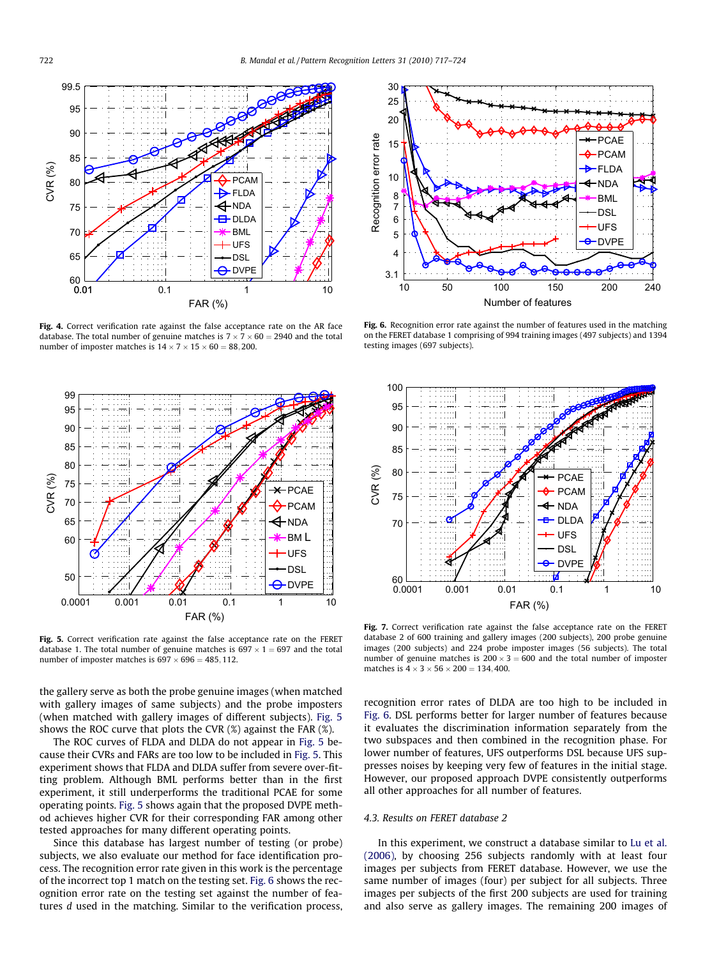<span id="page-5-0"></span>

Fig. 4. Correct verification rate against the false acceptance rate on the AR face database. The total number of genuine matches is  $7 \times 7 \times 60 = 2940$  and the total number of imposter matches is  $14 \times 7 \times 15 \times 60 = 88,200$ .



Fig. 5. Correct verification rate against the false acceptance rate on the FERET database 1. The total number of genuine matches is  $697 \times 1 = 697$  and the total number of imposter matches is  $697 \times 696 = 485,112$ .

the gallery serve as both the probe genuine images (when matched with gallery images of same subjects) and the probe imposters (when matched with gallery images of different subjects). Fig. 5 shows the ROC curve that plots the CVR (%) against the FAR (%).

The ROC curves of FLDA and DLDA do not appear in Fig. 5 because their CVRs and FARs are too low to be included in Fig. 5. This experiment shows that FLDA and DLDA suffer from severe over-fitting problem. Although BML performs better than in the first experiment, it still underperforms the traditional PCAE for some operating points. Fig. 5 shows again that the proposed DVPE method achieves higher CVR for their corresponding FAR among other tested approaches for many different operating points.

Since this database has largest number of testing (or probe) subjects, we also evaluate our method for face identification process. The recognition error rate given in this work is the percentage of the incorrect top 1 match on the testing set. Fig. 6 shows the recognition error rate on the testing set against the number of features d used in the matching. Similar to the verification process,



Fig. 6. Recognition error rate against the number of features used in the matching on the FERET database 1 comprising of 994 training images (497 subjects) and 1394 testing images (697 subjects).



Fig. 7. Correct verification rate against the false acceptance rate on the FERET database 2 of 600 training and gallery images (200 subjects), 200 probe genuine images (200 subjects) and 224 probe imposter images (56 subjects). The total number of genuine matches is  $200 \times 3 = 600$  and the total number of imposter matches is  $4 \times 3 \times 56 \times 200 = 134,400$ .

recognition error rates of DLDA are too high to be included in Fig. 6. DSL performs better for larger number of features because it evaluates the discrimination information separately from the two subspaces and then combined in the recognition phase. For lower number of features, UFS outperforms DSL because UFS suppresses noises by keeping very few of features in the initial stage. However, our proposed approach DVPE consistently outperforms all other approaches for all number of features.

## 4.3. Results on FERET database 2

In this experiment, we construct a database similar to [Lu et al.](#page-7-0) [\(2006\),](#page-7-0) by choosing 256 subjects randomly with at least four images per subjects from FERET database. However, we use the same number of images (four) per subject for all subjects. Three images per subjects of the first 200 subjects are used for training and also serve as gallery images. The remaining 200 images of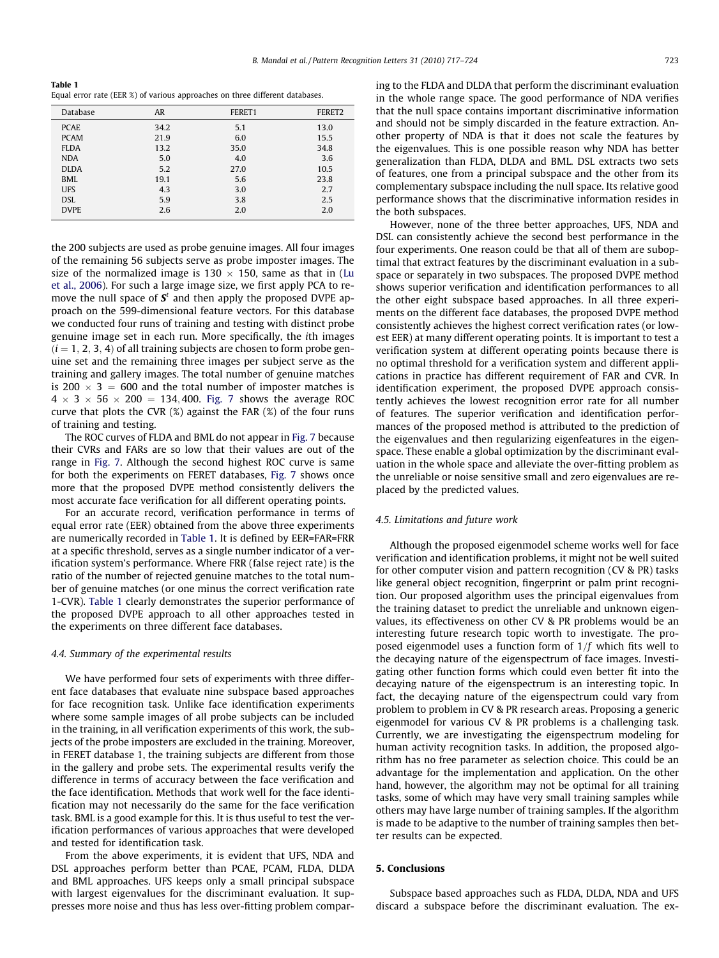<span id="page-6-0"></span>Table 1 Equal error rate (EER %) of various approaches on three different databases.

| Database    | <b>AR</b> | FERET1 | FERET2 |
|-------------|-----------|--------|--------|
| <b>PCAE</b> | 34.2      | 5.1    | 13.0   |
| <b>PCAM</b> | 21.9      | 6.0    | 15.5   |
| <b>FLDA</b> | 13.2      | 35.0   | 34.8   |
| <b>NDA</b>  | 5.0       | 4.0    | 3.6    |
| <b>DLDA</b> | 5.2       | 27.0   | 10.5   |
| <b>BML</b>  | 19.1      | 5.6    | 23.8   |
| <b>UFS</b>  | 4.3       | 3.0    | 2.7    |
| <b>DSL</b>  | 5.9       | 3.8    | 2.5    |
| <b>DVPE</b> | 2.6       | 2.0    | 2.0    |

the 200 subjects are used as probe genuine images. All four images of the remaining 56 subjects serve as probe imposter images. The size of the normalized image is 130  $\times$  150, same as that in ([Lu](#page-7-0) [et al., 2006\)](#page-7-0). For such a large image size, we first apply PCA to remove the null space of  $S<sup>t</sup>$  and then apply the proposed DVPE approach on the 599-dimensional feature vectors. For this database we conducted four runs of training and testing with distinct probe genuine image set in each run. More specifically, the ith images  $(i = 1, 2, 3, 4)$  of all training subjects are chosen to form probe genuine set and the remaining three images per subject serve as the training and gallery images. The total number of genuine matches is 200  $\times$  3 = 600 and the total number of imposter matches is  $4 \times 3 \times 56 \times 200 = 134,400$ . [Fig. 7](#page-5-0) shows the average ROC curve that plots the CVR (%) against the FAR (%) of the four runs of training and testing.

The ROC curves of FLDA and BML do not appear in [Fig. 7](#page-5-0) because their CVRs and FARs are so low that their values are out of the range in [Fig. 7.](#page-5-0) Although the second highest ROC curve is same for both the experiments on FERET databases, [Fig. 7](#page-5-0) shows once more that the proposed DVPE method consistently delivers the most accurate face verification for all different operating points.

For an accurate record, verification performance in terms of equal error rate (EER) obtained from the above three experiments are numerically recorded in Table 1. It is defined by EER=FAR=FRR at a specific threshold, serves as a single number indicator of a verification system's performance. Where FRR (false reject rate) is the ratio of the number of rejected genuine matches to the total number of genuine matches (or one minus the correct verification rate 1-CVR). Table 1 clearly demonstrates the superior performance of the proposed DVPE approach to all other approaches tested in the experiments on three different face databases.

#### 4.4. Summary of the experimental results

We have performed four sets of experiments with three different face databases that evaluate nine subspace based approaches for face recognition task. Unlike face identification experiments where some sample images of all probe subjects can be included in the training, in all verification experiments of this work, the subjects of the probe imposters are excluded in the training. Moreover, in FERET database 1, the training subjects are different from those in the gallery and probe sets. The experimental results verify the difference in terms of accuracy between the face verification and the face identification. Methods that work well for the face identification may not necessarily do the same for the face verification task. BML is a good example for this. It is thus useful to test the verification performances of various approaches that were developed and tested for identification task.

From the above experiments, it is evident that UFS, NDA and DSL approaches perform better than PCAE, PCAM, FLDA, DLDA and BML approaches. UFS keeps only a small principal subspace with largest eigenvalues for the discriminant evaluation. It suppresses more noise and thus has less over-fitting problem comparing to the FLDA and DLDA that perform the discriminant evaluation in the whole range space. The good performance of NDA verifies that the null space contains important discriminative information and should not be simply discarded in the feature extraction. Another property of NDA is that it does not scale the features by the eigenvalues. This is one possible reason why NDA has better generalization than FLDA, DLDA and BML. DSL extracts two sets of features, one from a principal subspace and the other from its complementary subspace including the null space. Its relative good performance shows that the discriminative information resides in the both subspaces.

However, none of the three better approaches, UFS, NDA and DSL can consistently achieve the second best performance in the four experiments. One reason could be that all of them are suboptimal that extract features by the discriminant evaluation in a subspace or separately in two subspaces. The proposed DVPE method shows superior verification and identification performances to all the other eight subspace based approaches. In all three experiments on the different face databases, the proposed DVPE method consistently achieves the highest correct verification rates (or lowest EER) at many different operating points. It is important to test a verification system at different operating points because there is no optimal threshold for a verification system and different applications in practice has different requirement of FAR and CVR. In identification experiment, the proposed DVPE approach consistently achieves the lowest recognition error rate for all number of features. The superior verification and identification performances of the proposed method is attributed to the prediction of the eigenvalues and then regularizing eigenfeatures in the eigenspace. These enable a global optimization by the discriminant evaluation in the whole space and alleviate the over-fitting problem as the unreliable or noise sensitive small and zero eigenvalues are replaced by the predicted values.

#### 4.5. Limitations and future work

Although the proposed eigenmodel scheme works well for face verification and identification problems, it might not be well suited for other computer vision and pattern recognition (CV & PR) tasks like general object recognition, fingerprint or palm print recognition. Our proposed algorithm uses the principal eigenvalues from the training dataset to predict the unreliable and unknown eigenvalues, its effectiveness on other CV & PR problems would be an interesting future research topic worth to investigate. The proposed eigenmodel uses a function form of  $1/f$  which fits well to the decaying nature of the eigenspectrum of face images. Investigating other function forms which could even better fit into the decaying nature of the eigenspectrum is an interesting topic. In fact, the decaying nature of the eigenspectrum could vary from problem to problem in CV & PR research areas. Proposing a generic eigenmodel for various CV & PR problems is a challenging task. Currently, we are investigating the eigenspectrum modeling for human activity recognition tasks. In addition, the proposed algorithm has no free parameter as selection choice. This could be an advantage for the implementation and application. On the other hand, however, the algorithm may not be optimal for all training tasks, some of which may have very small training samples while others may have large number of training samples. If the algorithm is made to be adaptive to the number of training samples then better results can be expected.

## 5. Conclusions

Subspace based approaches such as FLDA, DLDA, NDA and UFS discard a subspace before the discriminant evaluation. The ex